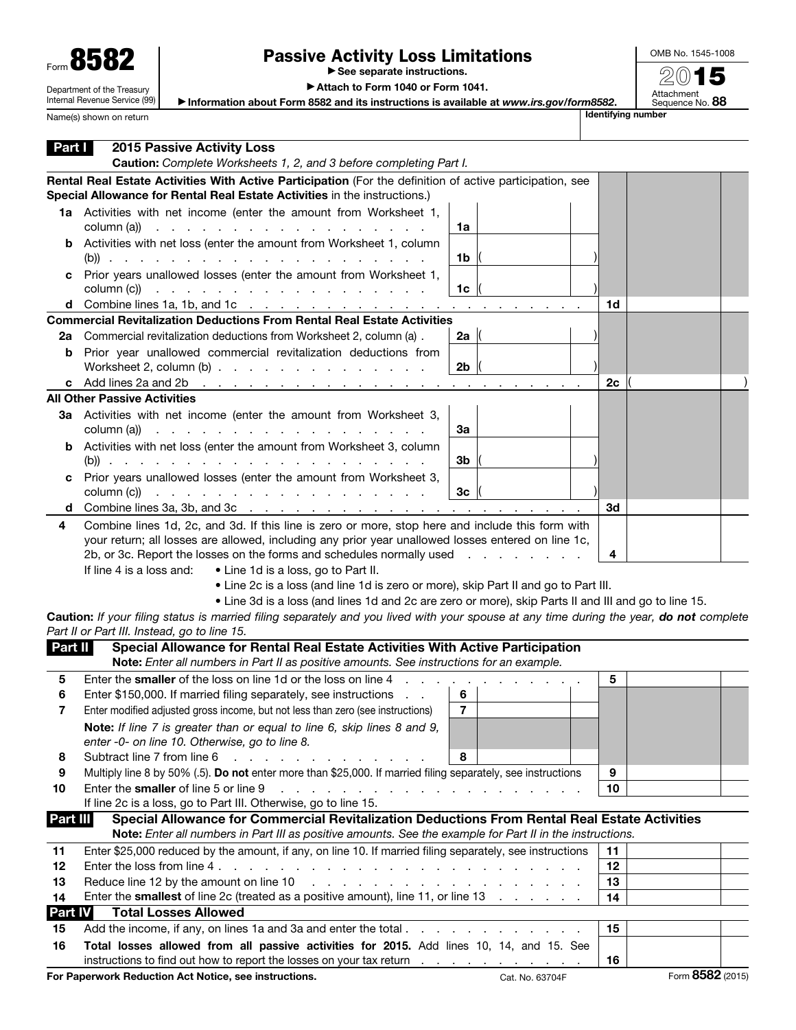| Form 858                   |
|----------------------------|
| Department of the Treasury |

Internal Revenue Service (99)

Name(s) shown on return

## Passive Activity Loss Limitations

▶ See separate instructions.

OMB No. 1545-1008 2015

Attachment<br>Sequence No. **88** 

▶ Attach to Form 1040 or Form 1041.

▶ Information about Form 8582 and its instructions is available at *www.irs.gov/form8582*.

| Part I   | <b>2015 Passive Activity Loss</b><br>Caution: Complete Worksheets 1, 2, and 3 before completing Part I.                                                                                                                                                                                                                                                                                                                                                                                                                                                                            |          |                  |  |
|----------|------------------------------------------------------------------------------------------------------------------------------------------------------------------------------------------------------------------------------------------------------------------------------------------------------------------------------------------------------------------------------------------------------------------------------------------------------------------------------------------------------------------------------------------------------------------------------------|----------|------------------|--|
|          | Rental Real Estate Activities With Active Participation (For the definition of active participation, see<br>Special Allowance for Rental Real Estate Activities in the instructions.)                                                                                                                                                                                                                                                                                                                                                                                              |          |                  |  |
|          | 1a Activities with net income (enter the amount from Worksheet 1,<br>column (a))<br>1a                                                                                                                                                                                                                                                                                                                                                                                                                                                                                             |          |                  |  |
|          | <b>b</b> Activities with net loss (enter the amount from Worksheet 1, column<br>1b                                                                                                                                                                                                                                                                                                                                                                                                                                                                                                 |          |                  |  |
|          | c Prior years unallowed losses (enter the amount from Worksheet 1,<br>1 <sub>c</sub><br>column (c))<br>the contract of the contract of the contract of the contract of                                                                                                                                                                                                                                                                                                                                                                                                             |          |                  |  |
|          | d Combine lines 1a, 1b, and 1c $\cdots$ $\cdots$ $\cdots$ $\cdots$ $\cdots$ $\cdots$ $\cdots$                                                                                                                                                                                                                                                                                                                                                                                                                                                                                      | 1d       |                  |  |
|          | <b>Commercial Revitalization Deductions From Rental Real Estate Activities</b>                                                                                                                                                                                                                                                                                                                                                                                                                                                                                                     |          |                  |  |
| 2а       | Commercial revitalization deductions from Worksheet 2, column (a).<br>2a                                                                                                                                                                                                                                                                                                                                                                                                                                                                                                           |          |                  |  |
|          | <b>b</b> Prior year unallowed commercial revitalization deductions from<br>2 <sub>b</sub><br>Worksheet 2, column $(b)$                                                                                                                                                                                                                                                                                                                                                                                                                                                             |          |                  |  |
|          | c Add lines $2a$ and $2b$                                                                                                                                                                                                                                                                                                                                                                                                                                                                                                                                                          | 2с       |                  |  |
|          | <b>All Other Passive Activities</b>                                                                                                                                                                                                                                                                                                                                                                                                                                                                                                                                                |          |                  |  |
|          | 3a Activities with net income (enter the amount from Worksheet 3,<br>column (a))<br>За<br>the contract of the contract of the contract of the contract of the contract of the contract of the contract of                                                                                                                                                                                                                                                                                                                                                                          |          |                  |  |
|          | <b>b</b> Activities with net loss (enter the amount from Worksheet 3, column<br>3b                                                                                                                                                                                                                                                                                                                                                                                                                                                                                                 |          |                  |  |
|          | c Prior years unallowed losses (enter the amount from Worksheet 3,<br>3 <sub>c</sub><br>column (c))<br>design a construction of the contract of the contract of the contract of the contract of the contract of the contract of the contract of the contract of the contract of the contract of the contract of the contract of the c                                                                                                                                                                                                                                              |          |                  |  |
| d        |                                                                                                                                                                                                                                                                                                                                                                                                                                                                                                                                                                                    | 3d       |                  |  |
| 4        | Combine lines 1d, 2c, and 3d. If this line is zero or more, stop here and include this form with<br>your return; all losses are allowed, including any prior year unallowed losses entered on line 1c,<br>2b, or 3c. Report the losses on the forms and schedules normally used<br>and the state of the state of<br>If line 4 is a loss and:<br>• Line 1d is a loss, go to Part II.<br>• Line 2c is a loss (and line 1d is zero or more), skip Part II and go to Part III.<br>• Line 3d is a loss (and lines 1d and 2c are zero or more), skip Parts II and III and go to line 15. | 4        |                  |  |
|          | Caution: If your filing status is married filing separately and you lived with your spouse at any time during the year, do not complete<br>Part II or Part III. Instead, go to line 15.                                                                                                                                                                                                                                                                                                                                                                                            |          |                  |  |
| Part II  | Special Allowance for Rental Real Estate Activities With Active Participation                                                                                                                                                                                                                                                                                                                                                                                                                                                                                                      |          |                  |  |
|          | Note: Enter all numbers in Part II as positive amounts. See instructions for an example.                                                                                                                                                                                                                                                                                                                                                                                                                                                                                           |          |                  |  |
| 5        | Enter the smaller of the loss on line 1d or the loss on line 4                                                                                                                                                                                                                                                                                                                                                                                                                                                                                                                     | 5        |                  |  |
| 6        | Enter \$150,000. If married filing separately, see instructions<br>6                                                                                                                                                                                                                                                                                                                                                                                                                                                                                                               |          |                  |  |
| 7        | $\overline{\mathbf{r}}$<br>Enter modified adjusted gross income, but not less than zero (see instructions)                                                                                                                                                                                                                                                                                                                                                                                                                                                                         |          |                  |  |
|          | Note: If line 7 is greater than or equal to line 6, skip lines 8 and 9,<br>enter -0- on line 10. Otherwise, go to line 8.                                                                                                                                                                                                                                                                                                                                                                                                                                                          |          |                  |  |
| 8        | 8<br>Subtract line 7 from line 6                                                                                                                                                                                                                                                                                                                                                                                                                                                                                                                                                   |          |                  |  |
| 9        | Multiply line 8 by 50% (.5). Do not enter more than \$25,000. If married filing separately, see instructions                                                                                                                                                                                                                                                                                                                                                                                                                                                                       | 9        |                  |  |
| 10       | Enter the smaller of line 5 or line 9<br>design and contract to the contract of the contract of                                                                                                                                                                                                                                                                                                                                                                                                                                                                                    | 10       |                  |  |
|          | If line 2c is a loss, go to Part III. Otherwise, go to line 15.                                                                                                                                                                                                                                                                                                                                                                                                                                                                                                                    |          |                  |  |
| Part III | Special Allowance for Commercial Revitalization Deductions From Rental Real Estate Activities                                                                                                                                                                                                                                                                                                                                                                                                                                                                                      |          |                  |  |
|          | Note: Enter all numbers in Part III as positive amounts. See the example for Part II in the instructions.                                                                                                                                                                                                                                                                                                                                                                                                                                                                          |          |                  |  |
| 11<br>12 | Enter \$25,000 reduced by the amount, if any, on line 10. If married filing separately, see instructions                                                                                                                                                                                                                                                                                                                                                                                                                                                                           | 11<br>12 |                  |  |
| 13       | Reduce line 12 by the amount on line 10<br>.                                                                                                                                                                                                                                                                                                                                                                                                                                                                                                                                       | 13       |                  |  |
| 14       | Enter the smallest of line 2c (treated as a positive amount), line 11, or line 13                                                                                                                                                                                                                                                                                                                                                                                                                                                                                                  | 14       |                  |  |
| Part IV  | <b>Total Losses Allowed</b>                                                                                                                                                                                                                                                                                                                                                                                                                                                                                                                                                        |          |                  |  |
| 15       |                                                                                                                                                                                                                                                                                                                                                                                                                                                                                                                                                                                    | 15       |                  |  |
| 16       | Total losses allowed from all passive activities for 2015. Add lines 10, 14, and 15. See                                                                                                                                                                                                                                                                                                                                                                                                                                                                                           |          |                  |  |
|          | instructions to find out how to report the losses on your tax return                                                                                                                                                                                                                                                                                                                                                                                                                                                                                                               | 16       |                  |  |
|          | For Paperwork Reduction Act Notice, see instructions.<br>Cat. No. 63704F                                                                                                                                                                                                                                                                                                                                                                                                                                                                                                           |          | Form 8582 (2015) |  |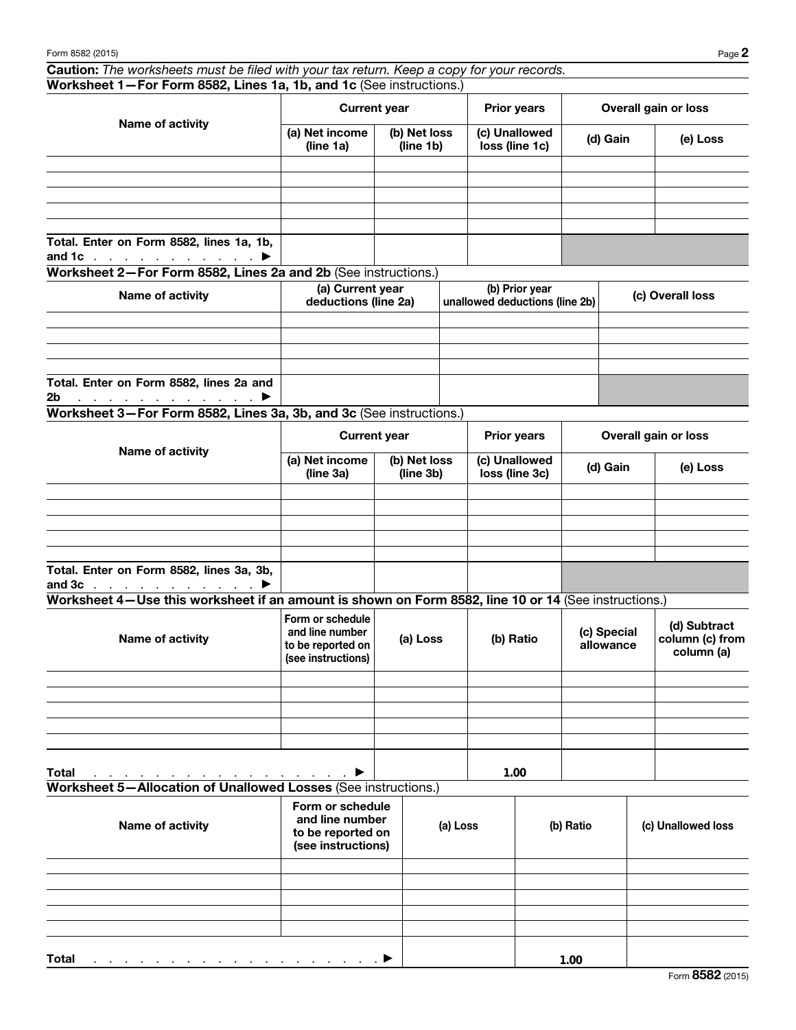Caution: *The worksheets must be filed with your tax return. Keep a copy for your records.* Worksheet 1—For Form 8582, Lines 1a, 1b, and 1c (See instructions.)

| Name of activity                                                                       | <b>Current year</b>         |                           | <b>Prior years</b>              | Overall gain or loss |          |  |
|----------------------------------------------------------------------------------------|-----------------------------|---------------------------|---------------------------------|----------------------|----------|--|
|                                                                                        | (a) Net income<br>(line 1a) | (b) Net loss<br>(line 1b) | (c) Unallowed<br>loss (line 1c) | (d) Gain             | (e) Loss |  |
|                                                                                        |                             |                           |                                 |                      |          |  |
|                                                                                        |                             |                           |                                 |                      |          |  |
|                                                                                        |                             |                           |                                 |                      |          |  |
|                                                                                        |                             |                           |                                 |                      |          |  |
|                                                                                        |                             |                           |                                 |                      |          |  |
| Total. Enter on Form 8582, lines 1a, 1b,<br>and 1c $\ldots$ $\ldots$ $\ldots$ $\ldots$ |                             |                           |                                 |                      |          |  |

Worksheet 2—For Form 8582, Lines 2a and 2b (See instructions.)

| Name of activity                                                                                                                                                                                                                                | (a) Current year<br>deductions (line 2a) | (b) Prior year<br>unallowed deductions (line 2b) | (c) Overall loss |  |  |
|-------------------------------------------------------------------------------------------------------------------------------------------------------------------------------------------------------------------------------------------------|------------------------------------------|--------------------------------------------------|------------------|--|--|
|                                                                                                                                                                                                                                                 |                                          |                                                  |                  |  |  |
|                                                                                                                                                                                                                                                 |                                          |                                                  |                  |  |  |
|                                                                                                                                                                                                                                                 |                                          |                                                  |                  |  |  |
|                                                                                                                                                                                                                                                 |                                          |                                                  |                  |  |  |
| Total. Enter on Form 8582, lines 2a and                                                                                                                                                                                                         |                                          |                                                  |                  |  |  |
| 2 <sub>b</sub><br>in a communication of the most property of the most property of the most property of the most property of the most of the most of the most of the most of the most of the most of the most of the most of the most of the mos |                                          |                                                  |                  |  |  |

Worksheet 3—For Form 8582, Lines 3a, 3b, and 3c (See instructions.)

|                                                                            |                             | <b>Current year</b>       | <b>Prior years</b>              | Overall gain or loss |          |  |
|----------------------------------------------------------------------------|-----------------------------|---------------------------|---------------------------------|----------------------|----------|--|
| Name of activity                                                           | (a) Net income<br>(line 3a) | (b) Net loss<br>(line 3b) | (c) Unallowed<br>loss (line 3c) | (d) Gain             | (e) Loss |  |
|                                                                            |                             |                           |                                 |                      |          |  |
|                                                                            |                             |                           |                                 |                      |          |  |
|                                                                            |                             |                           |                                 |                      |          |  |
|                                                                            |                             |                           |                                 |                      |          |  |
|                                                                            |                             |                           |                                 |                      |          |  |
| Total. Enter on Form 8582, lines 3a, 3b,<br>and $3c$ $\blacktriangleright$ |                             |                           |                                 |                      |          |  |

Worksheet 4—Use this worksheet if an amount is shown on Form 8582, line 10 or 14 (See instructions.)

| Name of activity                                                                | Form or schedule<br>and line number<br>to be reported on<br>(see instructions) | (a) Loss | (b) Ratio | (c) Special<br>allowance | (d) Subtract<br>column (c) from<br>column (a) |
|---------------------------------------------------------------------------------|--------------------------------------------------------------------------------|----------|-----------|--------------------------|-----------------------------------------------|
|                                                                                 |                                                                                |          |           |                          |                                               |
|                                                                                 |                                                                                |          |           |                          |                                               |
|                                                                                 |                                                                                |          |           |                          |                                               |
|                                                                                 |                                                                                |          |           |                          |                                               |
|                                                                                 |                                                                                |          |           |                          |                                               |
| <b>Total</b><br>and a series of the contract of the contract of the contract of | $\blacktriangleright$                                                          |          | 1.00      |                          |                                               |

Worksheet 5—Allocation of Unallowed Losses (See instructions.)

| Name of activity                                                                                                | Form or schedule<br>and line number<br>to be reported on<br>(see instructions) | (a) Loss | (b) Ratio | (c) Unallowed loss |
|-----------------------------------------------------------------------------------------------------------------|--------------------------------------------------------------------------------|----------|-----------|--------------------|
|                                                                                                                 |                                                                                |          |           |                    |
|                                                                                                                 |                                                                                |          |           |                    |
|                                                                                                                 |                                                                                |          |           |                    |
|                                                                                                                 |                                                                                |          |           |                    |
|                                                                                                                 |                                                                                |          |           |                    |
| <b>Total</b><br>$\mathcal{L}$ . The set of the set of the set of the set of the set of the set of $\mathcal{L}$ |                                                                                |          | 1.00      |                    |